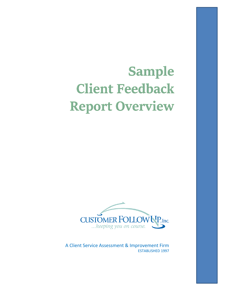# **Sample Client Feedback Report Overview**



A Client Service Assessment & Improvement Firm ESTABLISHED 1997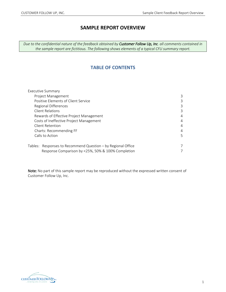# **SAMPLE REPORT OVERVIEW**

*Due to the confidential nature of the feedback obtained by Customer Follow Up, Inc. all comments contained in the sample report are fictitious. The following shows elements of a typical CFU summary report.*

## **TABLE OF CONTENTS**

| <b>Executive Summary</b>                                     |   |
|--------------------------------------------------------------|---|
| Project Management                                           | 3 |
| Positive Elements of Client Service                          | 3 |
| Regional Differences                                         | 3 |
| <b>Client Relations</b>                                      | 3 |
| Rewards of Effective Project Management                      | 4 |
| Costs of Ineffective Project Management                      | 4 |
| Client Retention                                             | 4 |
| Charts: Recommending FF                                      | 4 |
| Calls to Action                                              | 5 |
| Tables: Responses to Recommend Question - by Regional Office | 7 |
| Response Comparison by <25%, 50% & 100% Completion           |   |

Note: No part of this sample report may be reproduced without the expressed written consent of Customer Follow Up, Inc.

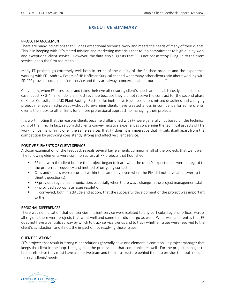# **EXECUTIVE SUMMARY**

#### PROJECT MANAGEMENT

There are many indications that FF does exceptional technical work and meets the needs of many of their clients. This is in keeping with FF's stated mission and marketing materials that tout a commitment to high quality work and exceptional client service. However, the data also suggests that FF is not *consistently* living up to the client service ideals the firm aspires to.

Many FF projects go extremely well both in terms of the quality of the finished product and the experience working with FF. Andrew Peters of HR Hoffman Surgical echoed what many other clients said about working with FF, "FF provides excellent client service and they are always concerned about our needs."

Conversely, when FF loses focus and takes their eye off ensuring client's needs are met, it is costly. In fact, in one case it cost FF 3-4 million dollars in lost revenue because they did not receive the contract for the second phase of Kiefer Consultant's JMX Plant Facility. Factors like ineffective issue resolution, missed deadlines and changing project managers mid-project without forewarning clients have created a loss in confidence for some clients. Clients then look to other firms for a more professional approach to managing their projects.

It is worth noting that the reasons clients became disillusioned with FF were generally not based on the technical skills of the firm. In fact, seldom did clients convey negative experiences concerning the technical aspects of FF's work. Since many firms offer the same services that FF does, it is imperative that FF sets itself apart from the competition by providing consistently strong and effective client service.

#### POSITIVE ELEMENTS OF CLIENT SERVICE

A closer examination of the feedback reveals several key elements common in all of the projects that went well. The following elements were common across all FF projects that flourished.

- FF met with the client before the project began to learn what the client's expectations were in regard to the preferred frequency and method of on-going contact.
- Calls and emails were returned within the same day, even when the PM did not have an answer to the client's question(s).
- **FF provided regular communication, especially when there was a change in the project management staff.**
- **FR** provided appropriate issue resolution.
- FF conveyed, both in attitude and action, that the successful development of the project was important to them.

#### REGIONAL DIFFERENCES

There was no indication that deficiencies in client service were isolated to any particular regional office. Across all regions there were projects that went well and some that did not go as well. What was apparent is that FF does not have a centralized way by which to track service trends and to track whether issues were resolved to the client's satisfaction, and if not, the impact of not resolving those issues.

#### CLIENT RELATIONS

FF's projects that result in strong client relations generally have one element in common – a project manager that keeps the client in the loop, is engaged in the process and that communicates well. For the project manager to be this effective they must have a cohesive team and the infrastructure behind them to provide the tools needed to serve clients' needs.

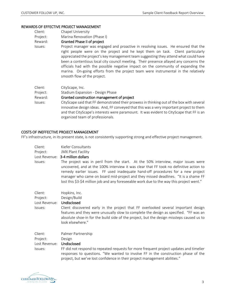#### REWARDS OF EFFECTIVE PROJECT MANAGEMENT

Project: Marina Renovation (Phase I)

#### Reward: Granted Phase II of project

Issues: Project manager was engaged and proactive in resolving issues. He ensured that the right people were on the project and he kept them on task. Client particularly appreciated the project's key management team suggesting they attend what could have been a contentious local city council meeting. Their presence allayed any concerns the officials had with the possible negative impact on the community of expanding the marina. On-going efforts from the project team were instrumental in the relatively smooth flow of the project.

| Client:  | CityScape, Inc.                                                                                                                                                                                                                                                                                                       |
|----------|-----------------------------------------------------------------------------------------------------------------------------------------------------------------------------------------------------------------------------------------------------------------------------------------------------------------------|
| Project: | Stadium Expansion - Design Phase                                                                                                                                                                                                                                                                                      |
| Reward:  | Granted construction management of project                                                                                                                                                                                                                                                                            |
| Issues:  | CityScape said that FF demonstrated their prowess in thinking out of the box with several<br>innovative design ideas. And, FF conveyed that this was a very important project to them<br>and that CityScape's interests were paramount. It was evident to CityScape that FF is an<br>organized team of professionals. |

#### COSTS OF INEFFECTIVE PROJECT MANAGEMENT

FF's infrastructure, in its present state, is not consistently supporting strong and effective project management.

| Client:<br>Project: | Kiefer Consultants<br><b>JMX Plant Facility</b>                                                                                                                                                                                                                                                                                                                                                                                                  |
|---------------------|--------------------------------------------------------------------------------------------------------------------------------------------------------------------------------------------------------------------------------------------------------------------------------------------------------------------------------------------------------------------------------------------------------------------------------------------------|
| Lost Revenue:       | 3-4 million dollars                                                                                                                                                                                                                                                                                                                                                                                                                              |
| Issues:             | The project was in peril from the start. At the 50% interview, major issues were<br>uncovered, and at the 100% interview it was clear that FF took no definitive action to<br>remedy earlier issues. FF used inadequate hand-off procedures for a new project<br>manager who came on board mid-project and they missed deadlines. "It is a shame FF<br>lost this \$3-\$4 million job and any foreseeable work due to the way this project went." |
| Client:             | Hopkins, Inc.                                                                                                                                                                                                                                                                                                                                                                                                                                    |
| Project:            | Design/Build                                                                                                                                                                                                                                                                                                                                                                                                                                     |
| Lost Revenue:       | Undisclosed                                                                                                                                                                                                                                                                                                                                                                                                                                      |
| Issues:             | Client discovered early in the project that FF overlooked several important design<br>features and they were unusually slow to complete the design as specified. "FF was an<br>absolute shoe-in for the build side of the project, but the design missteps caused us to<br>look elsewhere."                                                                                                                                                      |

Client: Palmer Partnership Project: Design Lost Revenue: Undisclosed

Issues: FF did not respond to repeated requests for more frequent project updates and timelier responses to questions. "We wanted to involve FF in the construction phase of the project, but we've lost confidence in their project management abilities."

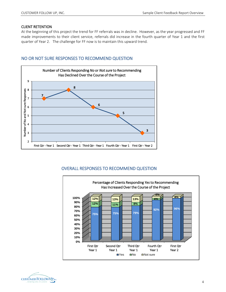#### CLIENT RETENTION

At the beginning of this project the trend for FF referrals was in decline. However, as the year progressed and FF made improvements to their client service, referrals did increase in the fourth quarter of Year 1 and the first quarter of Year 2. The challenge for FF now is to maintain this upward trend.

## NO OR NOT SURE RESPONSES TO RECOMMEND QUESTION



# OVERALL RESPONSES TO RECOMMEND QUESTION



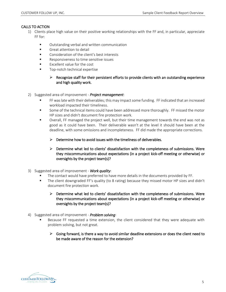#### CALLS TO ACTION

- 1) Clients place high value on their positive working relationships with the FF and, in particular, appreciate FF for:
	- **URED COUTSTANDING** OUTSTANDING **DETE** CONTROLLEX CONTROLLEX **PERIMEN**
	- **Great attention to detail**
	- **EXECONS** Consideration of the client's best interests
	- Responsiveness to time sensitive issues
	- Excellent value for the cost
	- Top-notch technical expertise

#### $\triangleright$  Recognize staff for their persistent efforts to provide clients with an outstanding experience and high quality work.

- 2) Suggested area of improvement *Project management*:
	- FF was late with their deliverables; this may impact some funding. FF indicated that an increased workload impacted their timeliness.
	- Some of the technical items could have been addressed more thoroughly. FF missed the motor HP sizes and didn't document fire protection work.
	- Overall, FF managed the project well, but their time management towards the end was not as good as it could have been. Their deliverable wasn't at the level it should have been at the deadline, with some omissions and incompleteness. FF did made the appropriate corrections.
		- $\triangleright$  Determine how to avoid issues with the timeliness of deliverables.
		- $\triangleright$  Determine what led to clients' dissatisfaction with the completeness of submissions. Were they miscommunications about expectations (in a project kick-off meeting or otherwise) or oversights by the project team(s)?
- 3) Suggested area of improvement *Work quality*:
	- The contact would have preferred to have more details in the documents provided by FF.
	- The client downgraded FF's quality (to 8 rating) because they missed motor HP sizes and didn't document fire protection work.
		- $\triangleright$  Determine what led to clients' dissatisfaction with the completeness of submissions. Were they miscommunications about expectations (in a project kick-off meeting or otherwise) or oversights by the project team(s)?
- 4) Suggested area of improvement *Problem solving*:
	- Because FF requested a time extension, the client considered that they were adequate with problem solving, but not great.
		- $\triangleright$  Going forward, is there a way to avoid similar deadline extensions or does the client need to be made aware of the reason for the extension?

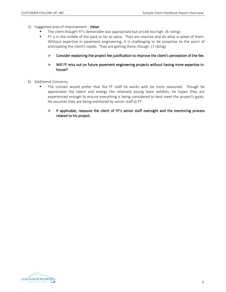- 5) Suggested area of improvement *Value*:
	- **The client thought FF's deliverable was appropriate but priced too high. (6 rating)**
	- FF is in the middle of the pack as far as value. They are reactive and do what is asked of them. Without expertise in pavement engineering, it is challenging to be proactive to the point of anticipating the client's needs. They are getting there, though. (7 rating)
		- $\triangleright$  Consider explaining the project fee justification to improve the client's perception of the fee.
		- $\triangleright$  Will FF miss out on future pavement engineering projects without having more expertise inhouse?
- 6) Additional Concerns:
	- The contact would prefer that the FF staff he works with be more seasoned. Though he appreciates the talent and energy the relatively young team exhibits, he hopes they are experienced enough to ensure everything is being considered to best meet the project's goals. He assumes they are being mentored by senior staff at FF.
		- $\triangleright$  If applicable, reassure the client of FF's senior staff oversight and the mentoring process related to his project.